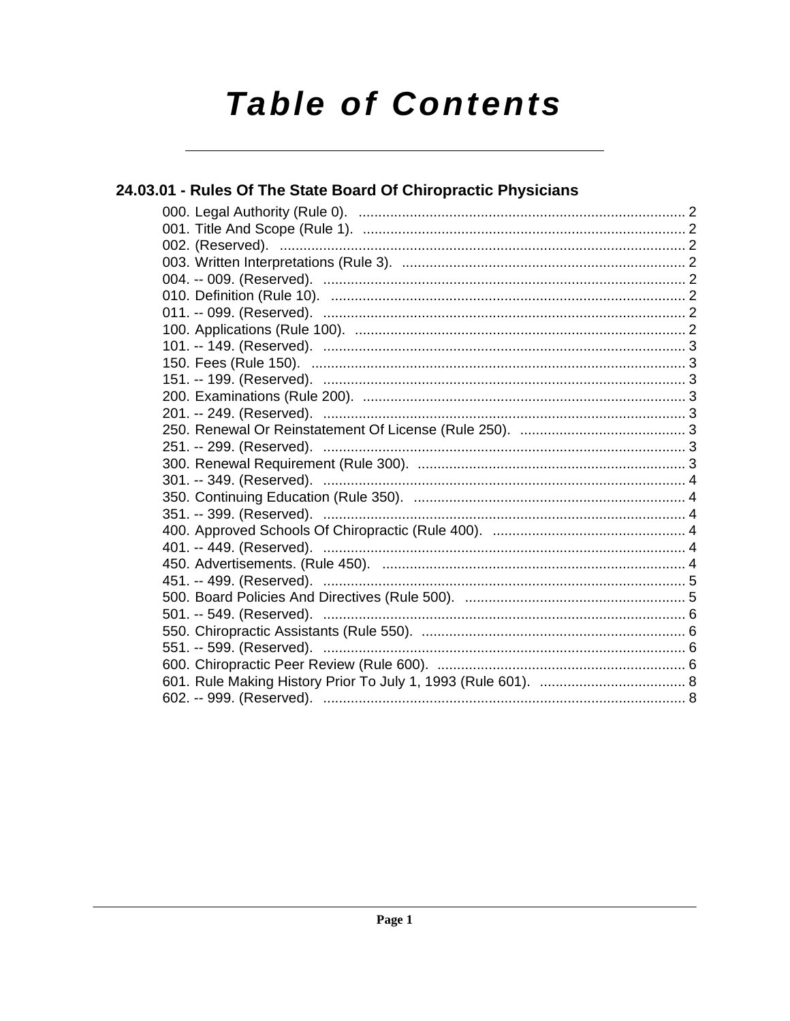# **Table of Contents**

| 24.03.01 - Rules Of The State Board Of Chiropractic Physicians |  |
|----------------------------------------------------------------|--|
|                                                                |  |
|                                                                |  |
|                                                                |  |
|                                                                |  |
|                                                                |  |
|                                                                |  |
|                                                                |  |
|                                                                |  |
|                                                                |  |
|                                                                |  |
|                                                                |  |
|                                                                |  |
|                                                                |  |
|                                                                |  |
|                                                                |  |
|                                                                |  |
|                                                                |  |
|                                                                |  |
|                                                                |  |
|                                                                |  |
|                                                                |  |
|                                                                |  |
|                                                                |  |
|                                                                |  |
|                                                                |  |
|                                                                |  |
|                                                                |  |
|                                                                |  |
|                                                                |  |
|                                                                |  |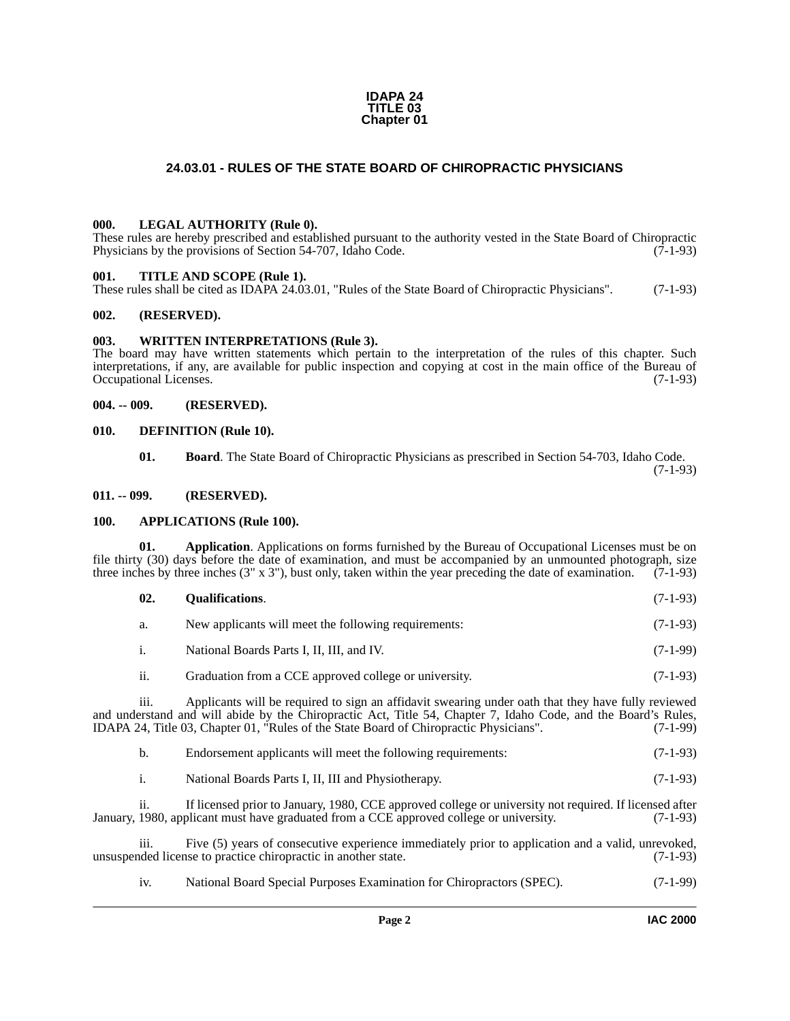#### **IDAPA 24 TITLE 03 Chapter 01**

#### **24.03.01 - RULES OF THE STATE BOARD OF CHIROPRACTIC PHYSICIANS**

#### <span id="page-1-13"></span><span id="page-1-1"></span><span id="page-1-0"></span>**000. LEGAL AUTHORITY (Rule 0).**

These rules are hereby prescribed and established pursuant to the authority vested in the State Board of Chiropractic Physicians by the provisions of Section 54-707, Idaho Code. (7-1-93)

#### <span id="page-1-15"></span><span id="page-1-2"></span>**001. TITLE AND SCOPE (Rule 1).**

These rules shall be cited as IDAPA 24.03.01, "Rules of the State Board of Chiropractic Physicians". (7-1-93)

#### <span id="page-1-3"></span>**002. (RESERVED).**

#### <span id="page-1-16"></span><span id="page-1-4"></span>**003. WRITTEN INTERPRETATIONS (Rule 3).**

The board may have written statements which pertain to the interpretation of the rules of this chapter. Such interpretations, if any, are available for public inspection and copying at cost in the main office of the Bureau of Occupational Licenses. (7-1-93) Occupational Licenses.

#### <span id="page-1-5"></span>**004. -- 009. (RESERVED).**

#### <span id="page-1-6"></span>**010. DEFINITION (Rule 10).**

<span id="page-1-12"></span><span id="page-1-11"></span>**01. Board**. The State Board of Chiropractic Physicians as prescribed in Section 54-703, Idaho Code. (7-1-93)

#### <span id="page-1-7"></span>**011. -- 099. (RESERVED).**

#### <span id="page-1-10"></span><span id="page-1-8"></span>**100. APPLICATIONS (Rule 100).**

**01. Application**. Applications on forms furnished by the Bureau of Occupational Licenses must be on file thirty (30) days before the date of examination, and must be accompanied by an unmounted photograph, size three inches by three inches (3" x 3"), bust only, taken within the year preceding the date of examination. (7-1-93)

<span id="page-1-14"></span><span id="page-1-9"></span>

| 02. | <b>Oualifications.</b>                               | $(7-1-93)$ |
|-----|------------------------------------------------------|------------|
| a.  | New applicants will meet the following requirements: | $(7-1-93)$ |
|     | National Boards Parts I, II, III, and IV.            | $(7-1-99)$ |

ii. Graduation from a CCE approved college or university. (7-1-93)

iii. Applicants will be required to sign an affidavit swearing under oath that they have fully reviewed and understand and will abide by the Chiropractic Act, Title 54, Chapter 7, Idaho Code, and the Board's Rules, IDAPA 24, Title 03, Chapter 01, "Rules of the State Board of Chiropractic Physicians". (7-1-99)

|  | Endorsement applicants will meet the following requirements: | $(7-1-93)$ |
|--|--------------------------------------------------------------|------------|
|--|--------------------------------------------------------------|------------|

i. National Boards Parts I, II, III and Physiotherapy. (7-1-93)

ii. If licensed prior to January, 1980, CCE approved college or university not required. If licensed after 1980, applicant must have graduated from a CCE approved college or university. (7-1-93) January, 1980, applicant must have graduated from a CCE approved college or university.

iii. Five (5) years of consecutive experience immediately prior to application and a valid, unrevoked, unsuspended license to practice chiropractic in another state. (7-1-93)

iv. National Board Special Purposes Examination for Chiropractors (SPEC). (7-1-99)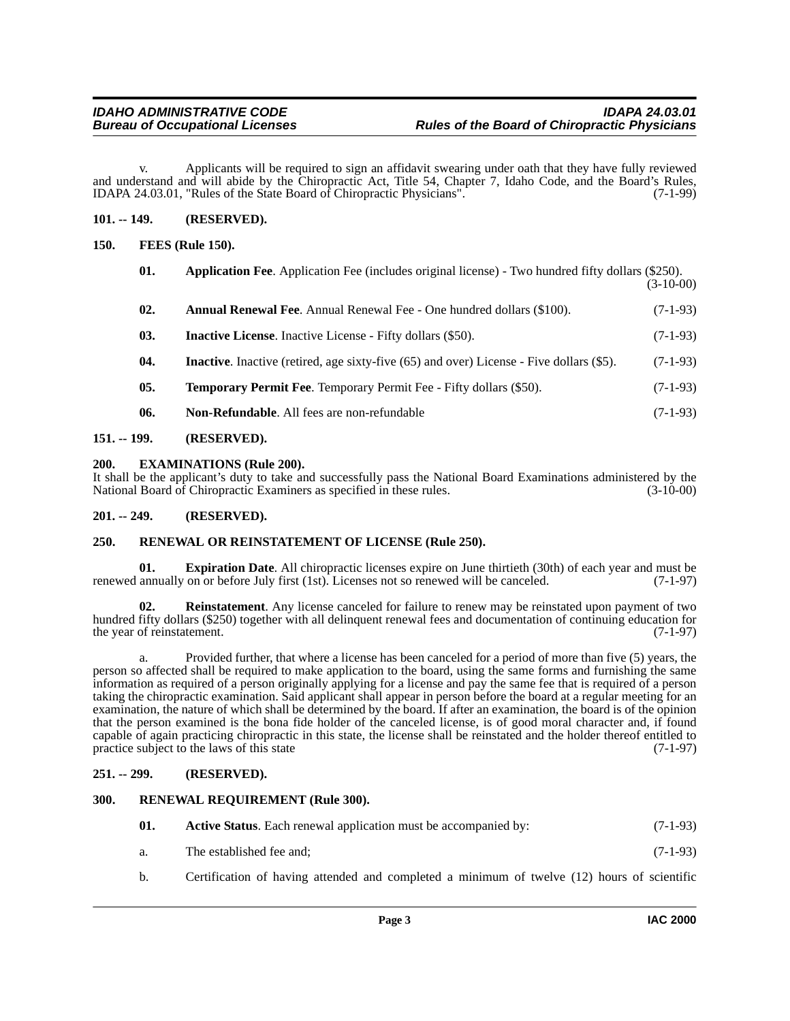v. Applicants will be required to sign an affidavit swearing under oath that they have fully reviewed and understand and will abide by the Chiropractic Act, Title 54, Chapter 7, Idaho Code, and the Board's Rules,<br>IDAPA 24.03.01. "Rules of the State Board of Chiropractic Physicians". (7-1-99) IDAPA 24.03.01, "Rules of the State Board of Chiropractic Physicians".

#### <span id="page-2-0"></span>**101. -- 149. (RESERVED).**

#### <span id="page-2-1"></span>**150. FEES (Rule 150).**

<span id="page-2-14"></span><span id="page-2-13"></span><span id="page-2-12"></span><span id="page-2-10"></span><span id="page-2-9"></span>

| 01. | Application Fee. Application Fee (includes original license) - Two hundred fifty dollars (\$250).    | $(3-10-00)$ |
|-----|------------------------------------------------------------------------------------------------------|-------------|
| 02. | <b>Annual Renewal Fee.</b> Annual Renewal Fee - One hundred dollars (\$100).                         | $(7-1-93)$  |
| 03. | <b>Inactive License.</b> Inactive License - Fifty dollars (\$50).                                    | $(7-1-93)$  |
| 04. | <b>Inactive.</b> Inactive (retired, age sixty-five $(65)$ and over) License - Five dollars $(\$5)$ . | $(7-1-93)$  |
| 05. | <b>Temporary Permit Fee.</b> Temporary Permit Fee - Fifty dollars (\$50).                            | $(7-1-93)$  |
| 06. | Non-Refundable. All fees are non-refundable                                                          | $(7-1-93)$  |
|     |                                                                                                      |             |

#### <span id="page-2-19"></span><span id="page-2-15"></span><span id="page-2-2"></span>**151. -- 199. (RESERVED).**

#### <span id="page-2-3"></span>**200. EXAMINATIONS (Rule 200).**

It shall be the applicant's duty to take and successfully pass the National Board Examinations administered by the National Board of Chiropractic Examiners as specified in these rules. (3-10-00)

#### <span id="page-2-4"></span>**201. -- 249. (RESERVED).**

#### <span id="page-2-17"></span><span id="page-2-5"></span>**250. RENEWAL OR REINSTATEMENT OF LICENSE (Rule 250).**

<span id="page-2-11"></span>**01. Expiration Date**. All chiropractic licenses expire on June thirtieth (30th) of each year and must be renewed annually on or before July first (1st). Licenses not so renewed will be canceled. (7-1-97)

<span id="page-2-16"></span>**02. Reinstatement**. Any license canceled for failure to renew may be reinstated upon payment of two hundred fifty dollars (\$250) together with all delinquent renewal fees and documentation of continuing education for<br>(7-1-97) the year of reinstatement.

a. Provided further, that where a license has been canceled for a period of more than five (5) years, the person so affected shall be required to make application to the board, using the same forms and furnishing the same information as required of a person originally applying for a license and pay the same fee that is required of a person taking the chiropractic examination. Said applicant shall appear in person before the board at a regular meeting for an examination, the nature of which shall be determined by the board. If after an examination, the board is of the opinion that the person examined is the bona fide holder of the canceled license, is of good moral character and, if found capable of again practicing chiropractic in this state, the license shall be reinstated and the holder thereof entitled to practice subject to the laws of this state (7-1-97)

#### <span id="page-2-6"></span>**251. -- 299. (RESERVED).**

#### <span id="page-2-7"></span>**300. RENEWAL REQUIREMENT (Rule 300).**

<span id="page-2-18"></span><span id="page-2-8"></span>

| 01. | <b>Active Status.</b> Each renewal application must be accompanied by: |            |  |
|-----|------------------------------------------------------------------------|------------|--|
|     | The established fee and:                                               | $(7-1-93)$ |  |

b. Certification of having attended and completed a minimum of twelve (12) hours of scientific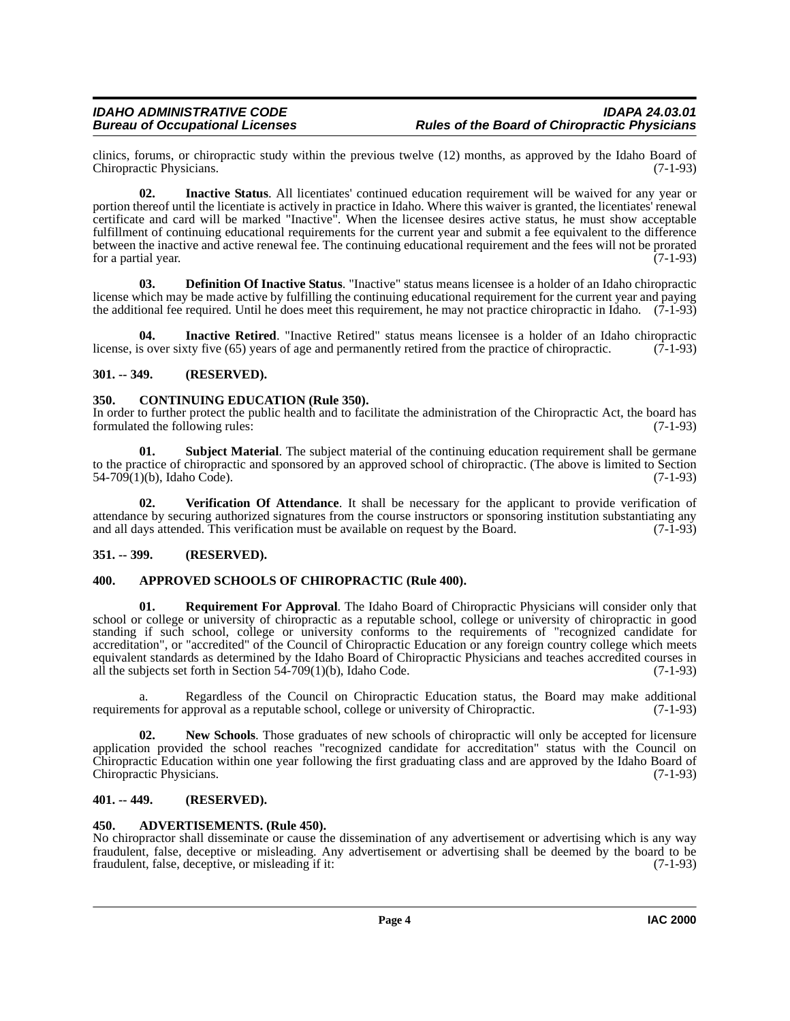clinics, forums, or chiropractic study within the previous twelve (12) months, as approved by the Idaho Board of Chiropractic Physicians. (7-1-93) Chiropractic Physicians.

<span id="page-3-11"></span>**02. Inactive Status**. All licentiates' continued education requirement will be waived for any year or portion thereof until the licentiate is actively in practice in Idaho. Where this waiver is granted, the licentiates' renewal certificate and card will be marked "Inactive". When the licensee desires active status, he must show acceptable fulfillment of continuing educational requirements for the current year and submit a fee equivalent to the difference between the inactive and active renewal fee. The continuing educational requirement and the fees will not be prorated for a partial year.  $(7-1-93)$ 

<span id="page-3-9"></span>**03. Definition Of Inactive Status**. "Inactive" status means licensee is a holder of an Idaho chiropractic license which may be made active by fulfilling the continuing educational requirement for the current year and paying the additional fee required. Until he does meet this requirement, he may not practice chiropractic in Idaho. (7-1-93)

<span id="page-3-10"></span>**04.** Inactive Retired. "Inactive Retired" status means licensee is a holder of an Idaho chiropractic sover sixty five (65) years of age and permanently retired from the practice of chiropractic. (7-1-93) license, is over sixty five (65) years of age and permanently retired from the practice of chiropractic.

### <span id="page-3-0"></span>**301. -- 349. (RESERVED).**

#### <span id="page-3-8"></span><span id="page-3-1"></span>**350. CONTINUING EDUCATION (Rule 350).**

In order to further protect the public health and to facilitate the administration of the Chiropractic Act, the board has formulated the following rules: (7-1-93) formulated the following rules:

<span id="page-3-14"></span>**01.** Subject Material. The subject material of the continuing education requirement shall be germane to the practice of chiropractic and sponsored by an approved school of chiropractic. (The above is limited to Section  $54-709(1)(b)$ , Idaho Code). (7-1-93)

<span id="page-3-15"></span>**02. Verification Of Attendance**. It shall be necessary for the applicant to provide verification of attendance by securing authorized signatures from the course instructors or sponsoring institution substantiating any and all days attended. This verification must be available on request by the Board. (7-1-93)

#### <span id="page-3-2"></span>**351. -- 399. (RESERVED).**

#### <span id="page-3-7"></span><span id="page-3-3"></span>**400. APPROVED SCHOOLS OF CHIROPRACTIC (Rule 400).**

<span id="page-3-13"></span>**01. Requirement For Approval**. The Idaho Board of Chiropractic Physicians will consider only that school or college or university of chiropractic as a reputable school, college or university of chiropractic in good standing if such school, college or university conforms to the requirements of "recognized candidate for accreditation", or "accredited" of the Council of Chiropractic Education or any foreign country college which meets equivalent standards as determined by the Idaho Board of Chiropractic Physicians and teaches accredited courses in all the subjects set forth in Section 54-709(1)(b), Idaho Code.  $(7-1-93)$ 

a. Regardless of the Council on Chiropractic Education status, the Board may make additional ents for approval as a reputable school, college or university of Chiropractic. (7-1-93) requirements for approval as a reputable school, college or university of Chiropractic.

<span id="page-3-12"></span>**02.** New Schools. Those graduates of new schools of chiropractic will only be accepted for licensure application provided the school reaches "recognized candidate for accreditation" status with the Council on Chiropractic Education within one year following the first graduating class and are approved by the Idaho Board of Chiropractic Physicians. (7-1-93)

#### <span id="page-3-4"></span>**401. -- 449. (RESERVED).**

#### <span id="page-3-6"></span><span id="page-3-5"></span>**450. ADVERTISEMENTS. (Rule 450).**

No chiropractor shall disseminate or cause the dissemination of any advertisement or advertising which is any way fraudulent, false, deceptive or misleading. Any advertisement or advertising shall be deemed by the board to be fraudulent, false, deceptive, or misleading if it: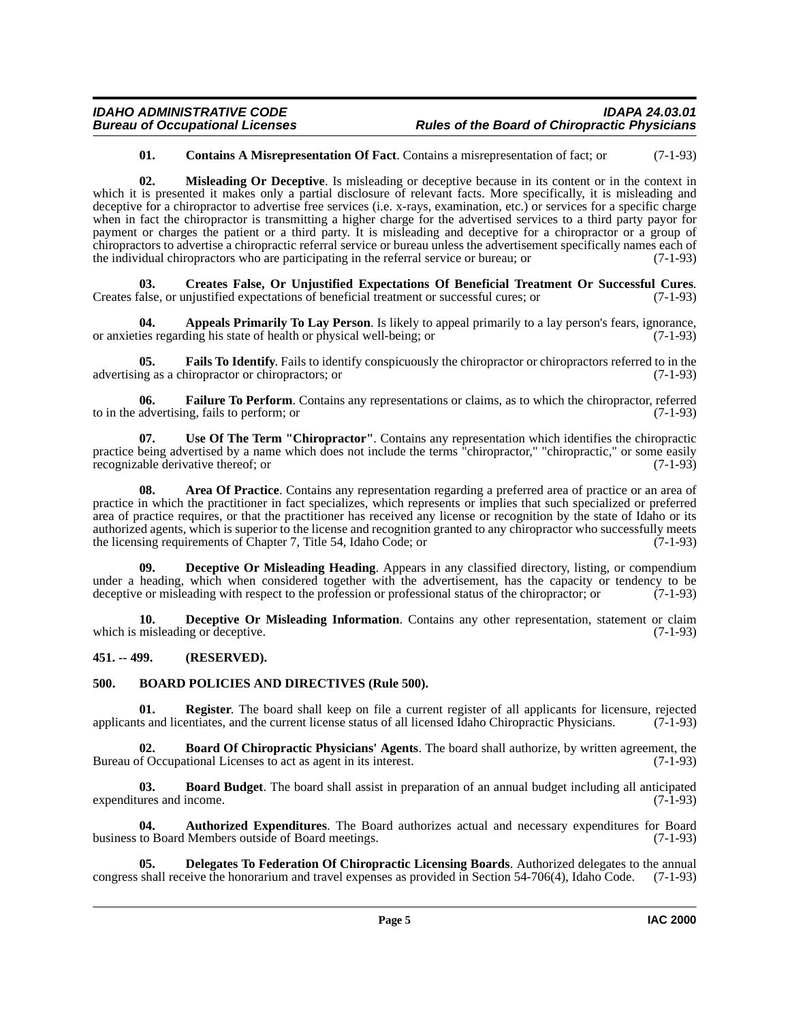#### <span id="page-4-15"></span><span id="page-4-8"></span>**01. Contains A Misrepresentation Of Fact**. Contains a misrepresentation of fact; or (7-1-93)

**02. Misleading Or Deceptive**. Is misleading or deceptive because in its content or in the context in which it is presented it makes only a partial disclosure of relevant facts. More specifically, it is misleading and deceptive for a chiropractor to advertise free services (i.e. x-rays, examination, etc.) or services for a specific charge when in fact the chiropractor is transmitting a higher charge for the advertised services to a third party payor for payment or charges the patient or a third party. It is misleading and deceptive for a chiropractor or a group of chiropractors to advertise a chiropractic referral service or bureau unless the advertisement specifically names each of the individual chiropractors who are participating in the referral service or bureau; or (7-1-93)

<span id="page-4-9"></span>**03. Creates False, Or Unjustified Expectations Of Beneficial Treatment Or Successful Cures**. Creates false, or unjustified expectations of beneficial treatment or successful cures; or (7-1-93)

<span id="page-4-2"></span>**04. Appeals Primarily To Lay Person**. Is likely to appeal primarily to a lay person's fears, ignorance, or anxieties regarding his state of health or physical well-being; or (7-1-93)

<span id="page-4-13"></span>**05. Fails To Identify**. Fails to identify conspicuously the chiropractor or chiropractors referred to in the advertising as a chiropractor or chiropractors; or (7-1-93)

<span id="page-4-14"></span>**06. Failure To Perform**. Contains any representations or claims, as to which the chiropractor, referred to in the advertising, fails to perform; or (7-1-93)

<span id="page-4-17"></span>**07. Use Of The Term "Chiropractor"**. Contains any representation which identifies the chiropractic practice being advertised by a name which does not include the terms "chiropractor," "chiropractic," or some easily recognizable derivative thereof; or (7-1-93)

<span id="page-4-3"></span>**08. Area Of Practice**. Contains any representation regarding a preferred area of practice or an area of practice in which the practitioner in fact specializes, which represents or implies that such specialized or preferred area of practice requires, or that the practitioner has received any license or recognition by the state of Idaho or its authorized agents, which is superior to the license and recognition granted to any chiropractor who successfully meets<br>the licensing requirements of Chapter 7. Title 54, Idaho Code: or (7-1-93) the licensing requirements of Chapter 7, Title 54, Idaho Code; or

<span id="page-4-10"></span>**Deceptive Or Misleading Heading**. Appears in any classified directory, listing, or compendium under a heading, which when considered together with the advertisement, has the capacity or tendency to be deceptive or misleading with respect to the profession or professional status of the chiropractor; or (7-1-93) deceptive or misleading with respect to the profession or professional status of the chiropractor; or

<span id="page-4-11"></span>**10. Deceptive Or Misleading Information**. Contains any other representation, statement or claim which is misleading or deceptive. (7-1-93)

#### <span id="page-4-0"></span>**451. -- 499. (RESERVED).**

#### <span id="page-4-7"></span><span id="page-4-1"></span>**500. BOARD POLICIES AND DIRECTIVES (Rule 500).**

<span id="page-4-16"></span>**01. Register**. The board shall keep on file a current register of all applicants for licensure, rejected applicants and licentiates, and the current license status of all licensed Idaho Chiropractic Physicians. (7-1-93)

<span id="page-4-6"></span>**02. Board Of Chiropractic Physicians' Agents**. The board shall authorize, by written agreement, the Bureau of Occupational Licenses to act as agent in its interest. (7-1-93)

<span id="page-4-5"></span>**03. Board Budget**. The board shall assist in preparation of an annual budget including all anticipated expenditures and income. (7-1-93)

<span id="page-4-4"></span>**04. Authorized Expenditures**. The Board authorizes actual and necessary expenditures for Board business to Board Members outside of Board meetings. (7-1-93)

<span id="page-4-12"></span>**05. Delegates To Federation Of Chiropractic Licensing Boards**. Authorized delegates to the annual congress shall receive the honorarium and travel expenses as provided in Section 54-706(4), Idaho Code. (7-1-93)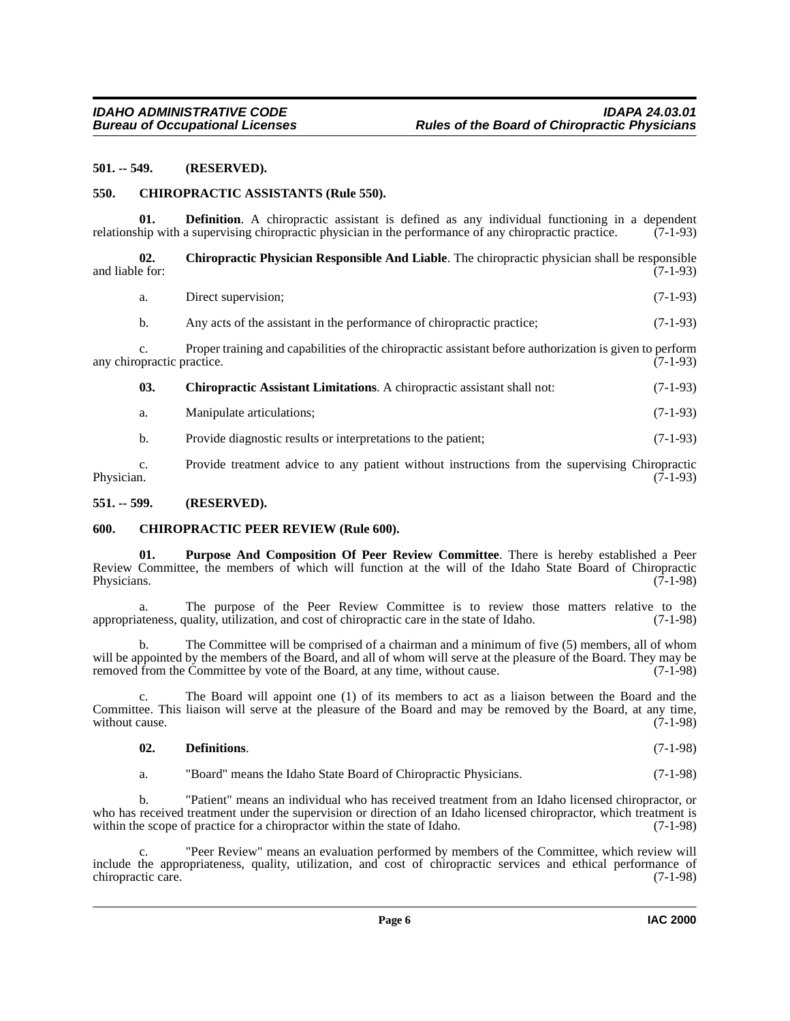#### <span id="page-5-0"></span>**501. -- 549. (RESERVED).**

#### <span id="page-5-5"></span><span id="page-5-1"></span>**550. CHIROPRACTIC ASSISTANTS (Rule 550).**

**01. Definition**. A chiropractic assistant is defined as any individual functioning in a dependent hip with a supervising chiropractic physician in the performance of any chiropractic practice. (7-1-93) relationship with a supervising chiropractic physician in the performance of any chiropractic practice.

**02. Chiropractic Physician Responsible And Liable**. The chiropractic physician shall be responsible and liable for:  $(7-1-93)$ 

<span id="page-5-7"></span>

| a. | Direct supervision: |  | $(7-1-93)$ |  |  |  |
|----|---------------------|--|------------|--|--|--|
|----|---------------------|--|------------|--|--|--|

b. Any acts of the assistant in the performance of chiropractic practice; (7-1-93)

c. Proper training and capabilities of the chiropractic assistant before authorization is given to perform any chiropractic practice.

<span id="page-5-4"></span>**03. Chiropractic Assistant Limitations**. A chiropractic assistant shall not: (7-1-93)

a. Manipulate articulations; (7-1-93)

b. Provide diagnostic results or interpretations to the patient; (7-1-93)

c. Provide treatment advice to any patient without instructions from the supervising Chiropractic Physician. (7-1-93) Physician.  $(7-1-93)$ 

#### <span id="page-5-2"></span>**551. -- 599. (RESERVED).**

#### <span id="page-5-6"></span><span id="page-5-3"></span>**600. CHIROPRACTIC PEER REVIEW (Rule 600).**

<span id="page-5-8"></span>**01. Purpose And Composition Of Peer Review Committee**. There is hereby established a Peer Review Committee, the members of which will function at the will of the Idaho State Board of Chiropractic Physicians.  $(7-1-98)$ 

a. The purpose of the Peer Review Committee is to review those matters relative to the ateness quality utilization, and cost of chiropractic care in the state of Idaho. (7-1-98) appropriateness, quality, utilization, and cost of chiropractic care in the state of Idaho.

b. The Committee will be comprised of a chairman and a minimum of five (5) members, all of whom will be appointed by the members of the Board, and all of whom will serve at the pleasure of the Board. They may be removed from the Committee by vote of the Board, at any time, without cause. (7-1-98)

c. The Board will appoint one (1) of its members to act as a liaison between the Board and the Committee. This liaison will serve at the pleasure of the Board and may be removed by the Board, at any time, without cause. (7-1-98)

#### **02. Definitions**. (7-1-98)

a. "Board" means the Idaho State Board of Chiropractic Physicians. (7-1-98)

b. "Patient" means an individual who has received treatment from an Idaho licensed chiropractor, or who has received treatment under the supervision or direction of an Idaho licensed chiropractor, which treatment is within the scope of practice for a chiropractor within the state of Idaho. (7-1-98)

c. "Peer Review" means an evaluation performed by members of the Committee, which review will include the appropriateness, quality, utilization, and cost of chiropractic services and ethical performance of chiropractic care. (7-1-98)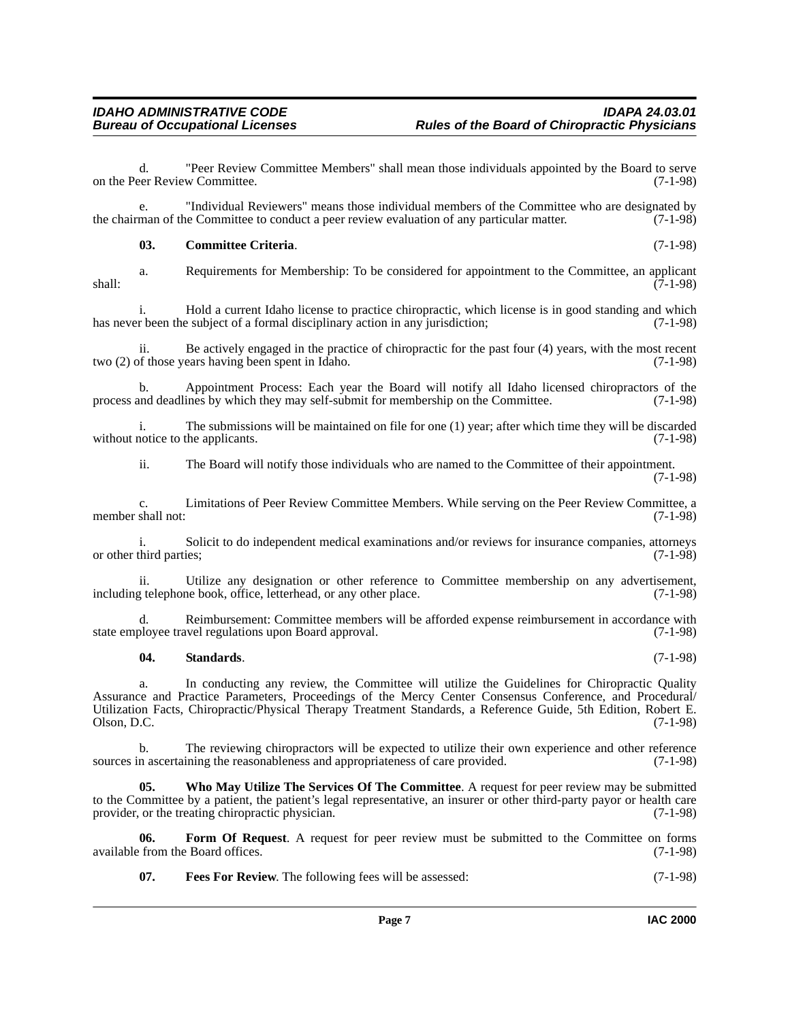d. "Peer Review Committee Members" shall mean those individuals appointed by the Board to serve on the Peer Review Committee. (7-1-98)

e. "Individual Reviewers" means those individual members of the Committee who are designated by man of the Committee to conduct a peer review evaluation of any particular matter. (7-1-98) the chairman of the Committee to conduct a peer review evaluation of any particular matter.

#### <span id="page-6-0"></span>**03. Committee Criteria**. (7-1-98)

a. Requirements for Membership: To be considered for appointment to the Committee, an applicant (7-1-98)  $\frac{1}{7}$  shall:  $\frac{1}{7}$  shall:  $\frac{1}{7}$  shall:  $\frac{1}{7}$  shall:

i. Hold a current Idaho license to practice chiropractic, which license is in good standing and which has never been the subject of a formal disciplinary action in any jurisdiction; (7-1-98)

ii. Be actively engaged in the practice of chiropractic for the past four (4) years, with the most recent two  $(2)$  of those years having been spent in Idaho.

b. Appointment Process: Each year the Board will notify all Idaho licensed chiropractors of the may self-submit for membership on the Committee. (7-1-98) process and deadlines by which they may self-submit for membership on the Committee.

i. The submissions will be maintained on file for one (1) year; after which time they will be discarded notice to the applicants. (7-1-98) without notice to the applicants.

ii. The Board will notify those individuals who are named to the Committee of their appointment. (7-1-98)

c. Limitations of Peer Review Committee Members. While serving on the Peer Review Committee, a member shall not:

i. Solicit to do independent medical examinations and/or reviews for insurance companies, attorneys or other third parties; (7-1-98)

ii. Utilize any designation or other reference to Committee membership on any advertisement, reference to Committee membership on any advertisement, (7-1-98) including telephone book, office, letterhead, or any other place.

Reimbursement: Committee members will be afforded expense reimbursement in accordance with state employee travel regulations upon Board approval. (7-1-98)

#### <span id="page-6-3"></span>**04. Standards**. (7-1-98)

a. In conducting any review, the Committee will utilize the Guidelines for Chiropractic Quality Assurance and Practice Parameters, Proceedings of the Mercy Center Consensus Conference, and Procedural/ Utilization Facts, Chiropractic/Physical Therapy Treatment Standards, a Reference Guide, 5th Edition, Robert E.  $\Box$  Olson, D.C.  $(7-1-98)$ 

b. The reviewing chiropractors will be expected to utilize their own experience and other reference sources in ascertaining the reasonableness and appropriateness of care provided.  $(7-1-98)$ 

<span id="page-6-4"></span>**05. Who May Utilize The Services Of The Committee**. A request for peer review may be submitted to the Committee by a patient, the patient's legal representative, an insurer or other third-party payor or health care provider, or the treating chiropractic physician. (7-1-98)

**06. Form Of Request**. A request for peer review must be submitted to the Committee on forms from the Board offices. (7-1-98) available from the Board offices.

<span id="page-6-2"></span><span id="page-6-1"></span>**07. Fees For Review**. The following fees will be assessed: (7-1-98)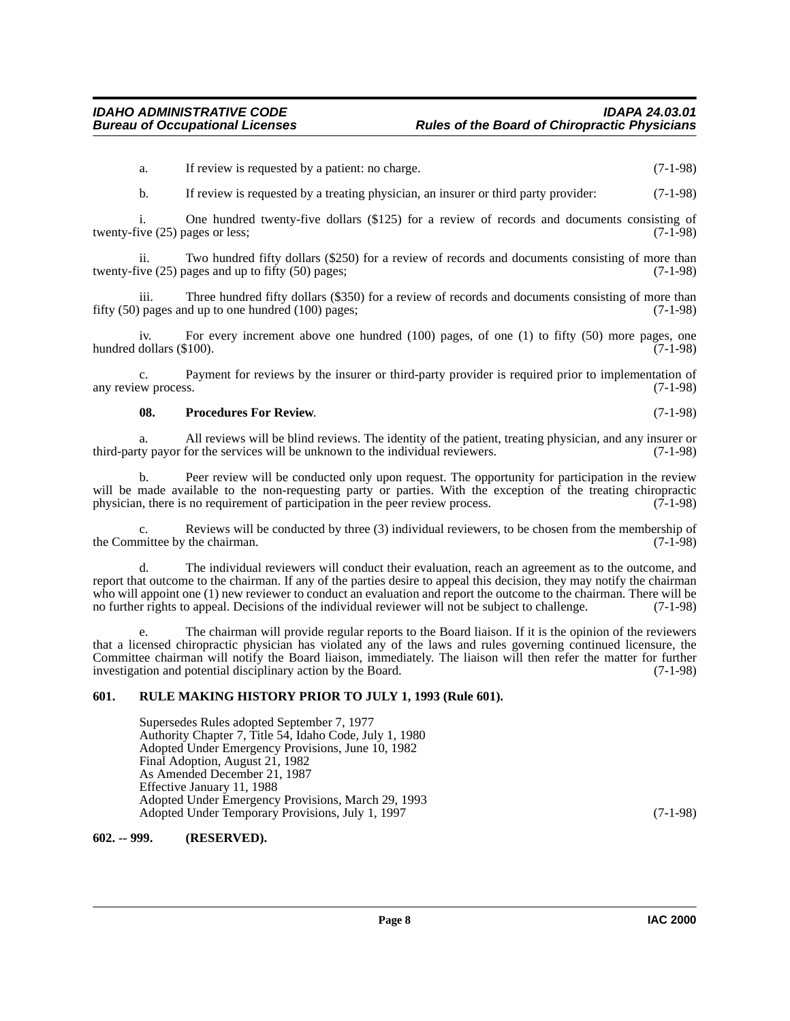a. If review is requested by a patient: no charge. (7-1-98)

b. If review is requested by a treating physician, an insurer or third party provider: (7-1-98)

i. One hundred twenty-five dollars  $(\$125)$  for a review of records and documents consisting of ive (25) pages or less: (7-1-98) twenty-five  $(25)$  pages or less;

ii. Two hundred fifty dollars (\$250) for a review of records and documents consisting of more than twenty-five  $(25)$  pages and up to fifty  $(50)$  pages;  $(7-1-98)$ 

iii. Three hundred fifty dollars (\$350) for a review of records and documents consisting of more than  $\beta$  pages and up to one hundred (100) pages: fifty  $(50)$  pages and up to one hundred  $(100)$  pages;

iv. For every increment above one hundred (100) pages, of one (1) to fifty (50) more pages, one dollars (\$100). (7-1-98) hundred dollars  $(\$100)$ .

c. Payment for reviews by the insurer or third-party provider is required prior to implementation of any review process. (7-1-98)

#### <span id="page-7-2"></span>**08. Procedures For Review**. (7-1-98)

a. All reviews will be blind reviews. The identity of the patient, treating physician, and any insurer or third-party payor for the services will be unknown to the individual reviewers.

b. Peer review will be conducted only upon request. The opportunity for participation in the review will be made available to the non-requesting party or parties. With the exception of the treating chiropractic physician, there is no requirement of participation in the peer review process. (7-1-98)

Reviews will be conducted by three (3) individual reviewers, to be chosen from the membership of the chairman.  $(7-1-98)$ the Committee by the chairman.

d. The individual reviewers will conduct their evaluation, reach an agreement as to the outcome, and report that outcome to the chairman. If any of the parties desire to appeal this decision, they may notify the chairman who will appoint one (1) new reviewer to conduct an evaluation and report the outcome to the chairman. There will be no further rights to appeal. Decisions of the individual reviewer will not be subject to challenge. (7-1-98)

e. The chairman will provide regular reports to the Board liaison. If it is the opinion of the reviewers that a licensed chiropractic physician has violated any of the laws and rules governing continued licensure, the Committee chairman will notify the Board liaison, immediately. The liaison will then refer the matter for further investigation and potential disciplinary action by the Board. (7-1-98)

#### <span id="page-7-0"></span>**601. RULE MAKING HISTORY PRIOR TO JULY 1, 1993 (Rule 601).**

<span id="page-7-3"></span>Supersedes Rules adopted September 7, 1977 Authority Chapter 7, Title 54, Idaho Code, July 1, 1980 Adopted Under Emergency Provisions, June 10, 1982 Final Adoption, August 21, 1982 As Amended December 21, 1987 Effective January 11, 1988 Adopted Under Emergency Provisions, March 29, 1993 Adopted Under Temporary Provisions, July 1, 1997 (7-1-98)

#### <span id="page-7-1"></span>**602. -- 999. (RESERVED).**